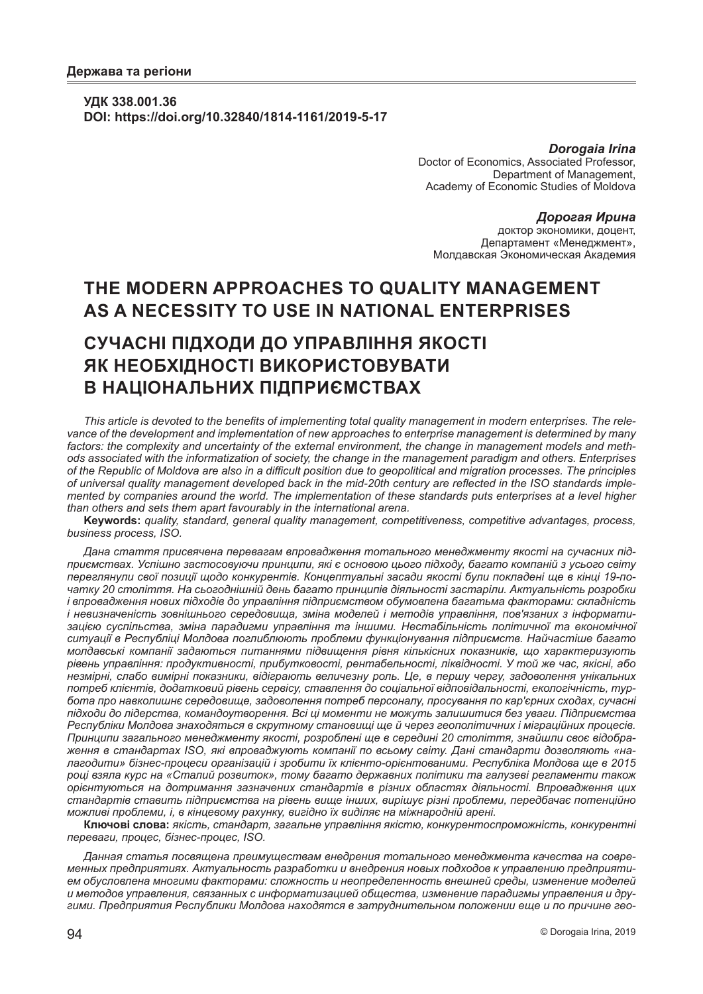### **УДК 338.001.36 DOI: https://doi.org/10.32840/1814-1161/2019-5-17**

*Dorogaia Irina* Doctor of Economics, Associated Professor, Department of Management, Academy of Economic Studies of Moldova

*Дорогая Ирина* доктор экономики, доцент, Департамент «Менеджмент», Молдавская Экономическая Академия

# **THE MODERN APPROACHES TO QUALITY MANAGEMENT AS A NECESSITY TO USE IN NATIONAL ENTERPRISES**

# **СУЧАСНІ ПІДХОДИ ДО УПРАВЛІННЯ ЯКОСТІ ЯК НЕОБХІДНОСТІ ВИКОРИСТОВУВАТИ В НАЦІОНАЛЬНИХ ПІДПРИЄМСТВАХ**

*This article is devoted to the benefits of implementing total quality management in modern enterprises. The relevance of the development and implementation of new approaches to enterprise management is determined by many factors: the complexity and uncertainty of the external environment, the change in management models and methods associated with the informatization of society, the change in the management paradigm and others. Enterprises of the Republic of Moldova are also in a difficult position due to geopolitical and migration processes. The principles of universal quality management developed back in the mid-20th century are reflected in the ISO standards implemented by companies around the world. The implementation of these standards puts enterprises at a level higher than others and sets them apart favourably in the international arena.*

**Keywords:** *quality, standard, general quality management, competitiveness, competitive advantages, process, business process, ISO.*

*Дана стаття присвячена перевагам впровадження тотального менеджменту якості на сучасних підприємствах. Успішно застосовуючи принципи, які є основою цього підходу, багато компаній з усього світу переглянули свої позиції щодо конкурентів. Концептуальні засади якості були покладені ще в кінці 19-початку 20 століття. На сьогоднішній день багато принципів діяльності застаріли. Актуальність розробки і впровадження нових підходів до управління підприємством обумовлена багатьма факторами: складність і невизначеність зовнішнього середовища, зміна моделей і методів управління, пов'язаних з інформатизацією суспільства, зміна парадигми управління та іншими. Нестабільність політичної та економічної ситуації в Республіці Молдова поглиблюють проблеми функціонування підприємств. Найчастіше багато молдавські компанії задаються питаннями підвищення рівня кількісних показників, що характеризують рівень управління: продуктивності, прибутковості, рентабельності, ліквідності. У той же час, якісні, або незмірні, слабо вимірні показники, відіграють величезну роль. Це, в першу чергу, задоволення унікальних потреб клієнтів, додатковий рівень сервісу, ставлення до соціальної відповідальності, екологічність, турбота про навколишнє середовище, задоволення потреб персоналу, просування по кар'єрних сходах, сучасні підходи до лідерства, командоутворення. Всі ці моменти не можуть залишитися без уваги. Підприємства Республіки Молдова знаходяться в скрутному становищі ще й через геополітичних і міграційних процесів. Принципи загального менеджменту якості, розроблені ще в середині 20 століття, знайшли своє відображення в стандартах ISO, які впроваджують компанії по всьому світу. Дані стандарти дозволяють «налагодити» бізнес-процеси організацій і зробити їх клієнто-орієнтованими. Республіка Молдова ще в 2015 році взяла курс на «Сталий розвиток», тому багато державних політики та галузеві регламенти також орієнтуються на дотримання зазначених стандартів в різних областях діяльності. Впровадження цих стандартів ставить підприємства на рівень вище інших, вирішує різні проблеми, передбачає потенційно можливі проблеми, і, в кінцевому рахунку, вигідно їх виділяє на міжнародній арені.*

**Ключові слова:** *якість, стандарт, загальне управління якістю, конкурентоспроможність, конкурентні переваги, процес, бізнес-процес, ISO.*

*Данная статья посвящена преимуществам внедрения тотального менеджмента качества на современных предприятиях. Актуальность разработки и внедрения новых подходов к управлению предприятием обусловлена многими факторами: сложность и неопределенность внешней среды, изменение моделей и методов управления, связанных с информатизацией общества, изменение парадигмы управления и другими. Предприятия Республики Молдова находятся в затруднительном положении еще и по причине гео-*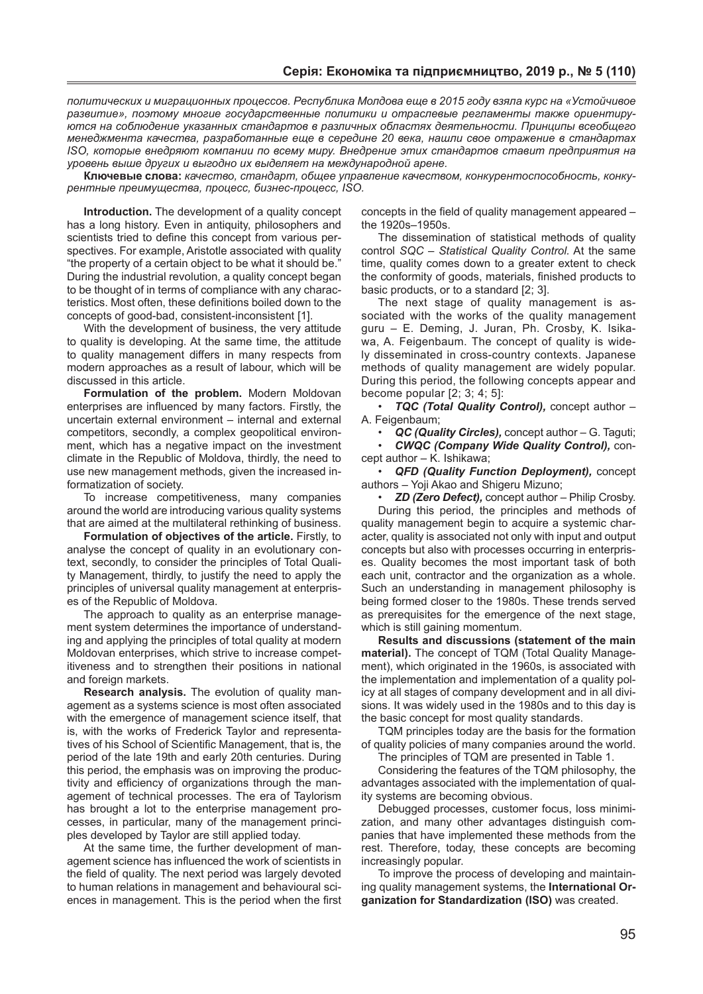*политических и миграционных процессов. Республика Молдова еще в 2015 году взяла курс на «Устойчивое развитие», поэтому многие государственные политики и отраслевые регламенты также ориентируются на соблюдение указанных стандартов в различных областях деятельности. Принципы всеобщего менеджмента качества, разработанные еще в середине 20 века, нашли свое отражение в стандартах ISO, которые внедряют компании по всему миру. Внедрение этих стандартов ставит предприятия на уровень выше других и выгодно их выделяет на международной арене.*

**Ключевые слова:** *качество, стандарт, общее управление качеством, конкурентоспособность, конкурентные преимущества, процесс, бизнес-процесс, ISO.*

**Introduction.** The development of a quality concept has a long history. Even in antiquity, philosophers and scientists tried to define this concept from various perspectives. For example, Aristotle associated with quality "the property of a certain object to be what it should be." During the industrial revolution, a quality concept began to be thought of in terms of compliance with any characteristics. Most often, these definitions boiled down to the concepts of good-bad, consistent-inconsistent [1].

With the development of business, the very attitude to quality is developing. At the same time, the attitude to quality management differs in many respects from modern approaches as a result of labour, which will be discussed in this article.

**Formulation of the problem.** Modern Moldovan enterprises are influenced by many factors. Firstly, the uncertain external environment – internal and external competitors, secondly, a complex geopolitical environment, which has a negative impact on the investment climate in the Republic of Moldova, thirdly, the need to use new management methods, given the increased informatization of society.

To increase competitiveness, many companies around the world are introducing various quality systems that are aimed at the multilateral rethinking of business.

**Formulation of objectives of the article.** Firstly, to analyse the concept of quality in an evolutionary context, secondly, to consider the principles of Total Quality Management, thirdly, to justify the need to apply the principles of universal quality management at enterprises of the Republic of Moldova.

The approach to quality as an enterprise management system determines the importance of understanding and applying the principles of total quality at modern Moldovan enterprises, which strive to increase competitiveness and to strengthen their positions in national and foreign markets.

**Research analysis.** The evolution of quality management as a systems science is most often associated with the emergence of management science itself, that is, with the works of Frederick Taylor and representatives of his School of Scientific Management, that is, the period of the late 19th and early 20th centuries. During this period, the emphasis was on improving the productivity and efficiency of organizations through the management of technical processes. The era of Taylorism has brought a lot to the enterprise management processes, in particular, many of the management principles developed by Taylor are still applied today.

At the same time, the further development of management science has influenced the work of scientists in the field of quality. The next period was largely devoted to human relations in management and behavioural sciences in management. This is the period when the first concepts in the field of quality management appeared – the 1920s–1950s.

The dissemination of statistical methods of quality control *SQC – Statistical Quality Control.* At the same time, quality comes down to a greater extent to check the conformity of goods, materials, finished products to basic products, or to a standard [2; 3].

The next stage of quality management is associated with the works of the quality management guru – E. Deming, J. Juran, Ph. Crosby, K. Isikawa. A. Feigenbaum. The concept of quality is widely disseminated in cross-country contexts. Japanese methods of quality management are widely popular. During this period, the following concepts appear and become popular [2; 3; 4; 5]:

• *TQC (Total Quality Control),* concept author – A. Feigenbaum;

• *QC (Quality Circles),* concept author – G. Taguti;

• *СWQC (Company Wide Quality Control),* concept author – K. Ishikawa;

• *QFD (Quality Function Deployment),* concept authors – Yoji Akao and Shigeru Mizuno;

• *ZD (Zero Defect),* concept author – Philip Crosby.

During this period, the principles and methods of quality management begin to acquire a systemic character, quality is associated not only with input and output concepts but also with processes occurring in enterprises. Quality becomes the most important task of both each unit, contractor and the organization as a whole. Such an understanding in management philosophy is being formed closer to the 1980s. These trends served as prerequisites for the emergence of the next stage, which is still gaining momentum.

**Results and discussions (statement of the main material).** The concept of TQM (Total Quality Management), which originated in the 1960s, is associated with the implementation and implementation of a quality policy at all stages of company development and in all divisions. It was widely used in the 1980s and to this day is the basic concept for most quality standards.

TQM principles today are the basis for the formation of quality policies of many companies around the world. The principles of TQM are presented in Table 1.

Considering the features of the TQM philosophy, the advantages associated with the implementation of quality systems are becoming obvious.

Debugged processes, customer focus, loss minimization, and many other advantages distinguish companies that have implemented these methods from the rest. Therefore, today, these concepts are becoming increasingly popular.

To improve the process of developing and maintaining quality management systems, the **International Organization for Standardization (ISO)** was created.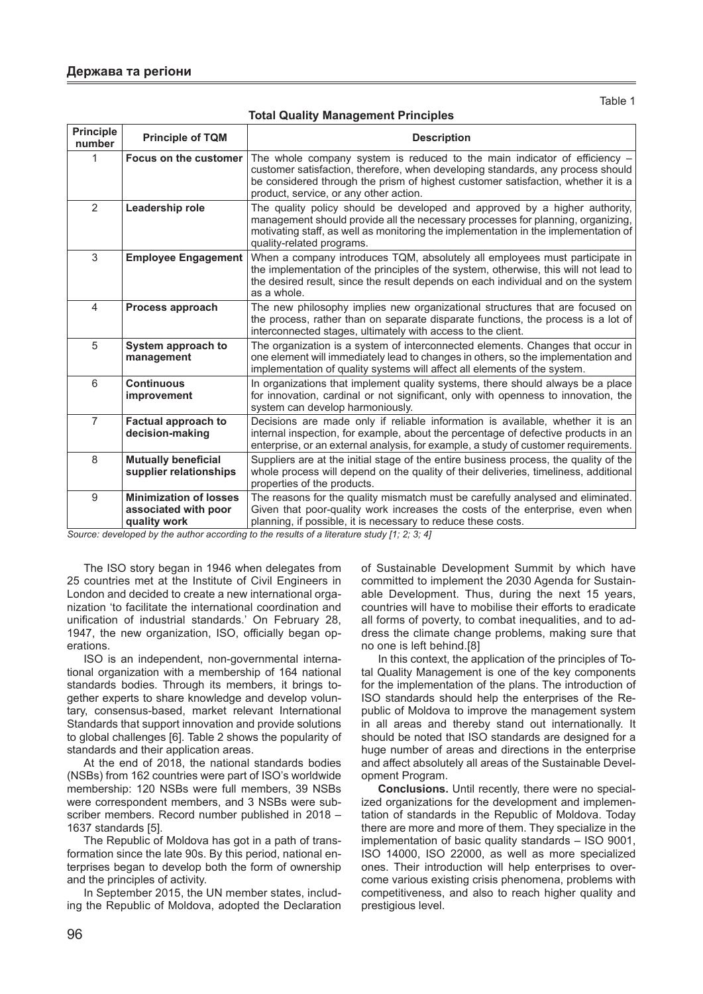Table 1

| Principle<br>number | <b>Principle of TQM</b>                                               | <b>Description</b>                                                                                                                                                                                                                                                                          |
|---------------------|-----------------------------------------------------------------------|---------------------------------------------------------------------------------------------------------------------------------------------------------------------------------------------------------------------------------------------------------------------------------------------|
|                     | Focus on the customer                                                 | The whole company system is reduced to the main indicator of efficiency -<br>customer satisfaction, therefore, when developing standards, any process should<br>be considered through the prism of highest customer satisfaction, whether it is a<br>product, service, or any other action. |
| $\overline{2}$      | Leadership role                                                       | The quality policy should be developed and approved by a higher authority,<br>management should provide all the necessary processes for planning, organizing,<br>motivating staff, as well as monitoring the implementation in the implementation of<br>quality-related programs.           |
| 3                   | <b>Employee Engagement</b>                                            | When a company introduces TQM, absolutely all employees must participate in<br>the implementation of the principles of the system, otherwise, this will not lead to<br>the desired result, since the result depends on each individual and on the system<br>as a whole.                     |
| 4                   | Process approach                                                      | The new philosophy implies new organizational structures that are focused on<br>the process, rather than on separate disparate functions, the process is a lot of<br>interconnected stages, ultimately with access to the client.                                                           |
| 5                   | System approach to<br>management                                      | The organization is a system of interconnected elements. Changes that occur in<br>one element will immediately lead to changes in others, so the implementation and<br>implementation of quality systems will affect all elements of the system.                                            |
| 6                   | <b>Continuous</b><br>improvement                                      | In organizations that implement quality systems, there should always be a place<br>for innovation, cardinal or not significant, only with openness to innovation, the<br>system can develop harmoniously.                                                                                   |
| $\overline{7}$      | <b>Factual approach to</b><br>decision-making                         | Decisions are made only if reliable information is available, whether it is an<br>internal inspection, for example, about the percentage of defective products in an<br>enterprise, or an external analysis, for example, a study of customer requirements.                                 |
| 8                   | <b>Mutually beneficial</b><br>supplier relationships                  | Suppliers are at the initial stage of the entire business process, the quality of the<br>whole process will depend on the quality of their deliveries, timeliness, additional<br>properties of the products.                                                                                |
| 9                   | <b>Minimization of losses</b><br>associated with poor<br>quality work | The reasons for the quality mismatch must be carefully analysed and eliminated.<br>Given that poor-quality work increases the costs of the enterprise, even when<br>planning, if possible, it is necessary to reduce these costs.                                                           |

*Source: developed by the author according to the results of a literature study [1; 2; 3; 4]*

The ISO story began in 1946 when delegates from 25 countries met at the Institute of Civil Engineers in London and decided to create a new international organization 'to facilitate the international coordination and unification of industrial standards.' On February 28, 1947, the new organization, ISO, officially began operations.

ISO is an independent, non-governmental international organization with a membership of 164 national standards bodies. Through its members, it brings together experts to share knowledge and develop voluntary, consensus-based, market relevant International Standards that support innovation and provide solutions to global challenges [6]. Table 2 shows the popularity of standards and their application areas.

At the end of 2018, the national standards bodies (NSBs) from 162 countries were part of ISO's worldwide membership: 120 NSBs were full members, 39 NSBs were correspondent members, and 3 NSBs were subscriber members. Record number published in 2018 – 1637 standards [5].

The Republic of Moldova has got in a path of transformation since the late 90s. By this period, national enterprises began to develop both the form of ownership and the principles of activity.

In September 2015, the UN member states, including the Republic of Moldova, adopted the Declaration of Sustainable Development Summit by which have committed to implement the 2030 Agenda for Sustainable Development. Thus, during the next 15 years, countries will have to mobilise their efforts to eradicate all forms of poverty, to combat inequalities, and to address the climate change problems, making sure that no one is left behind.[8]

In this context, the application of the principles of Total Quality Management is one of the key components for the implementation of the plans. The introduction of ISO standards should help the enterprises of the Republic of Moldova to improve the management system in all areas and thereby stand out internationally. It should be noted that ISO standards are designed for a huge number of areas and directions in the enterprise and affect absolutely all areas of the Sustainable Development Program.

**Conclusions.** Until recently, there were no specialized organizations for the development and implementation of standards in the Republic of Moldova. Today there are more and more of them. They specialize in the implementation of basic quality standards – ISO 9001, ISO 14000, ISO 22000, as well as more specialized ones. Their introduction will help enterprises to overcome various existing crisis phenomena, problems with competitiveness, and also to reach higher quality and prestigious level.